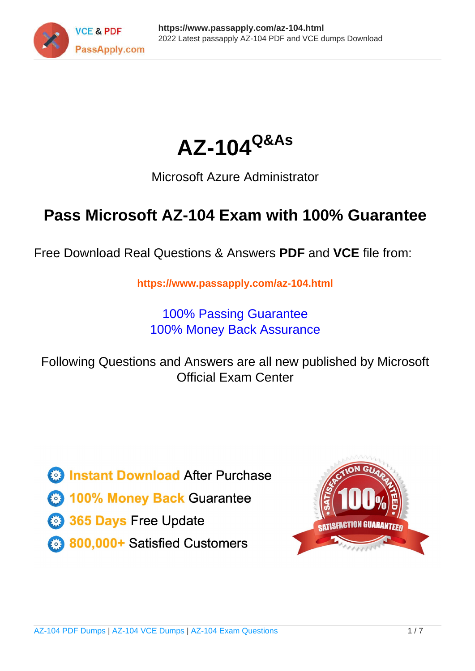



## Microsoft Azure Administrator

## **Pass Microsoft AZ-104 Exam with 100% Guarantee**

Free Download Real Questions & Answers **PDF** and **VCE** file from:

**https://www.passapply.com/az-104.html**

100% Passing Guarantee 100% Money Back Assurance

Following Questions and Answers are all new published by Microsoft Official Exam Center

**C** Instant Download After Purchase

**83 100% Money Back Guarantee** 

365 Days Free Update

800,000+ Satisfied Customers

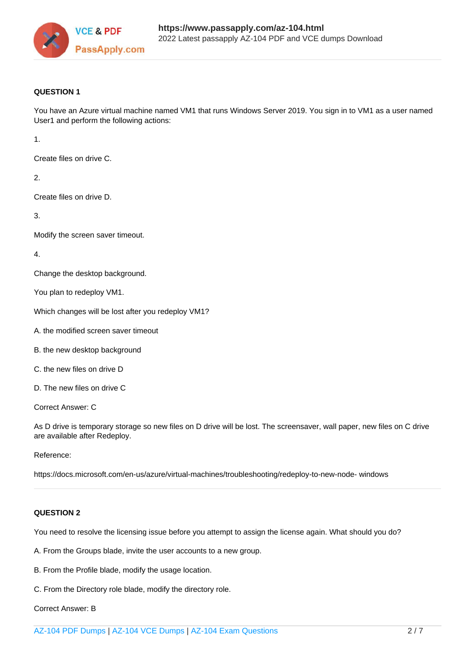

#### **QUESTION 1**

You have an Azure virtual machine named VM1 that runs Windows Server 2019. You sign in to VM1 as a user named User1 and perform the following actions:

1.

Create files on drive C.

2.

Create files on drive D.

3.

Modify the screen saver timeout.

4.

Change the desktop background.

You plan to redeploy VM1.

Which changes will be lost after you redeploy VM1?

- A. the modified screen saver timeout
- B. the new desktop background
- C. the new files on drive D
- D. The new files on drive C

Correct Answer: C

As D drive is temporary storage so new files on D drive will be lost. The screensaver, wall paper, new files on C drive are available after Redeploy.

#### Reference:

https://docs.microsoft.com/en-us/azure/virtual-machines/troubleshooting/redeploy-to-new-node- windows

#### **QUESTION 2**

You need to resolve the licensing issue before you attempt to assign the license again. What should you do?

A. From the Groups blade, invite the user accounts to a new group.

- B. From the Profile blade, modify the usage location.
- C. From the Directory role blade, modify the directory role.

Correct Answer: B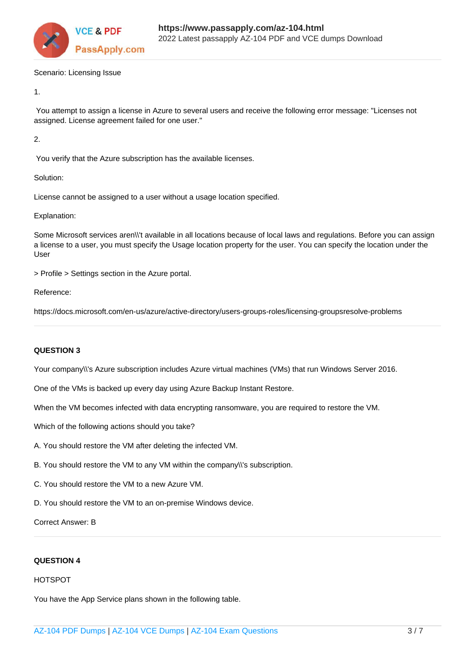

Scenario: Licensing Issue

1.

 You attempt to assign a license in Azure to several users and receive the following error message: "Licenses not assigned. License agreement failed for one user."

2.

You verify that the Azure subscription has the available licenses.

Solution:

License cannot be assigned to a user without a usage location specified.

Explanation:

Some Microsoft services aren\\'t available in all locations because of local laws and regulations. Before you can assign a license to a user, you must specify the Usage location property for the user. You can specify the location under the User

> Profile > Settings section in the Azure portal.

Reference:

https://docs.microsoft.com/en-us/azure/active-directory/users-groups-roles/licensing-groupsresolve-problems

### **QUESTION 3**

Your company\\'s Azure subscription includes Azure virtual machines (VMs) that run Windows Server 2016.

One of the VMs is backed up every day using Azure Backup Instant Restore.

When the VM becomes infected with data encrypting ransomware, you are required to restore the VM.

Which of the following actions should you take?

- A. You should restore the VM after deleting the infected VM.
- B. You should restore the VM to any VM within the company\\'s subscription.
- C. You should restore the VM to a new Azure VM.
- D. You should restore the VM to an on-premise Windows device.

Correct Answer: B

#### **QUESTION 4**

#### HOTSPOT

You have the App Service plans shown in the following table.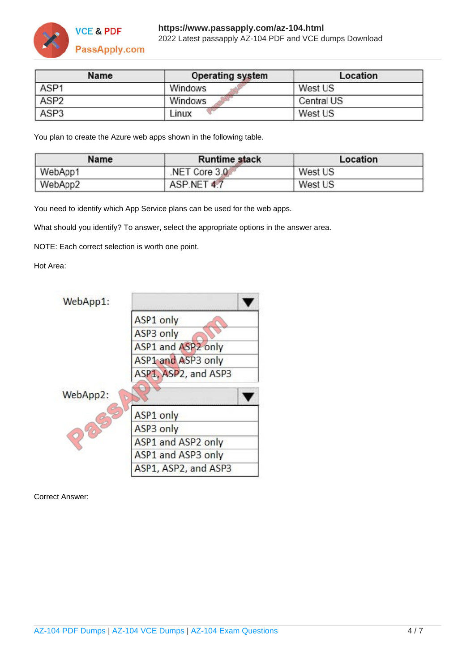

| Name             | <b>Operating system</b> | Location   |
|------------------|-------------------------|------------|
| ASP1             | Windows                 | West US    |
| ASP <sub>2</sub> | Windows                 | Central US |
| ASP <sub>3</sub> | Linux                   | West US    |

You plan to create the Azure web apps shown in the following table.

| Name    | <b>Runtime stack</b> | Location |
|---------|----------------------|----------|
| WebApp1 | NET Core 3.0         | West US  |
| WebApp2 | ASP.NET 4.7          | West US  |

You need to identify which App Service plans can be used for the web apps.

What should you identify? To answer, select the appropriate options in the answer area.

NOTE: Each correct selection is worth one point.

#### Hot Area:



Correct Answer: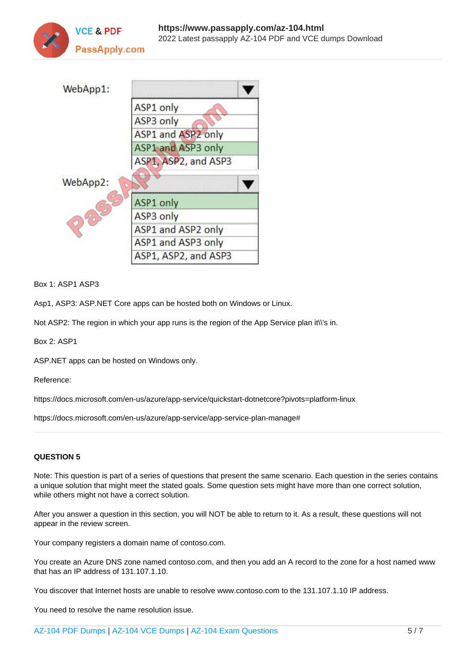



Box 1: ASP1 ASP3

Asp1, ASP3: ASP.NET Core apps can be hosted both on Windows or Linux.

Not ASP2: The region in which your app runs is the region of the App Service plan it\'s in.

Box 2: ASP1

ASP.NET apps can be hosted on Windows only.

Reference:

https://docs.microsoft.com/en-us/azure/app-service/quickstart-dotnetcore?pivots=platform-linux

https://docs.microsoft.com/en-us/azure/app-service/app-service-plan-manage#

#### **QUESTION 5**

Note: This question is part of a series of questions that present the same scenario. Each question in the series contains a unique solution that might meet the stated goals. Some question sets might have more than one correct solution, while others might not have a correct solution.

After you answer a question in this section, you will NOT be able to return to it. As a result, these questions will not appear in the review screen.

Your company registers a domain name of contoso.com.

You create an Azure DNS zone named contoso.com, and then you add an A record to the zone for a host named www that has an IP address of 131.107.1.10.

You discover that Internet hosts are unable to resolve www.contoso.com to the 131.107.1.10 IP address.

You need to resolve the name resolution issue.

[AZ-104 PDF Dumps](https://www.passapply.com/az-104.html) | [AZ-104 VCE Dumps](https://www.passapply.com/az-104.html) | [AZ-104 Exam Questions](https://www.passapply.com/az-104.html) 5 / 7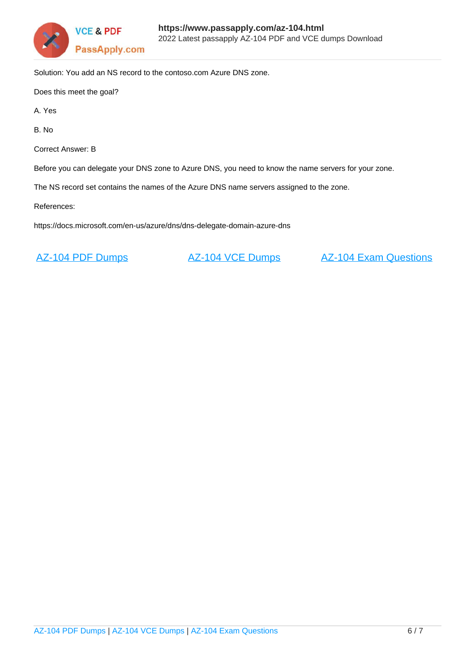

Solution: You add an NS record to the contoso.com Azure DNS zone.

Does this meet the goal?

A. Yes

B. No

Correct Answer: B

Before you can delegate your DNS zone to Azure DNS, you need to know the name servers for your zone.

The NS record set contains the names of the Azure DNS name servers assigned to the zone.

References:

https://docs.microsoft.com/en-us/azure/dns/dns-delegate-domain-azure-dns

[AZ-104 PDF Dumps](https://www.passapply.com/az-104.html) **[AZ-104 VCE Dumps](https://www.passapply.com/az-104.html)** [AZ-104 Exam Questions](https://www.passapply.com/az-104.html)